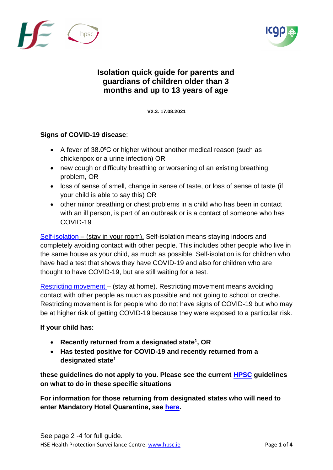



## **Isolation quick guide for parents and guardians of children older than 3 months and up to 13 years of age**

**V2.3. 17**V**.08.2021**

## **Signs of COVID-19 disease**:

- A fever of 38.0°C or higher without another medical reason (such as chickenpox or a urine infection) OR
- new cough or difficulty breathing or worsening of an existing breathing problem, OR
- loss of sense of smell, change in sense of taste, or loss of sense of taste (if your child is able to say this) OR
- other minor breathing or chest problems in a child who has been in contact with an ill person, is part of an outbreak or is a contact of someone who has COVID-19

[Self-isolation](https://www2.hse.ie/conditions/coronavirus/managing-coronavirus-at-home/self-isolation.html) – (stay in your room). Self-isolation means staying indoors and completely avoiding contact with other people. This includes other people who live in the same house as your child, as much as possible. Self-isolation is for children who have had a test that shows they have COVID-19 and also for children who are thought to have COVID-19, but are still waiting for a test.

[Restricting movement](https://www2.hse.ie/conditions/coronavirus/managing-coronavirus-at-home/if-you-live-with-someone-who-has-coronavirus.html) – (stay at home). Restricting movement means avoiding contact with other people as much as possible and not going to school or creche. Restricting movement is for people who do not have signs of COVID-19 but who may be at higher risk of getting COVID-19 because they were exposed to a particular risk.

## **If your child has:**

- **Recently returned from a designated state<sup>1</sup> , OR**
- **Has tested positive for COVID-19 and recently returned from a designated state<sup>1</sup>**

**these guidelines do not apply to you. Please see the current [HPSC](https://www.hpsc.ie/a-z/respiratory/coronavirus/novelcoronavirus/sars-cov-2variantsofconcern/) guidelines on what to do in these specific situations**

**For information for those returning from designated states who will need to enter Mandatory Hotel Quarantine, see [here.](https://www.gov.ie/en/publication/a6975-mandatory-hotel-quarantine/)**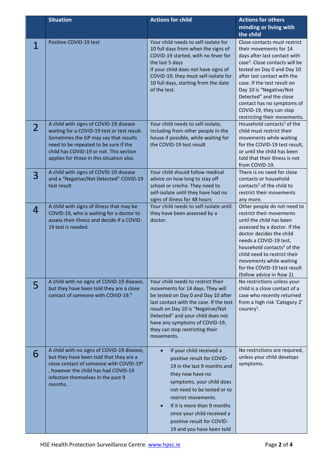|                | <b>Situation</b>                                                                                                                                                                                                                                                | <b>Actions for child</b>                                                                                                                                                                                                                                                                                                           | <b>Actions for others</b><br>minding or living with<br>the child                                                                                                                                                                                                                                                                                                                |
|----------------|-----------------------------------------------------------------------------------------------------------------------------------------------------------------------------------------------------------------------------------------------------------------|------------------------------------------------------------------------------------------------------------------------------------------------------------------------------------------------------------------------------------------------------------------------------------------------------------------------------------|---------------------------------------------------------------------------------------------------------------------------------------------------------------------------------------------------------------------------------------------------------------------------------------------------------------------------------------------------------------------------------|
| 1              | Positive COVID-19 test                                                                                                                                                                                                                                          | Your child needs to self-isolate for<br>10 full days from when the signs of<br>COVID-19 started, with no fever for<br>the last 5 days<br>If your child does not have signs of<br>COVID-19, they must self-isolate for<br>10 full days, starting from the date<br>of the test.                                                      | Close contacts must restrict<br>their movements for 14<br>days after last contact with<br>case <sup>3</sup> . Close contacts will be<br>tested on Day 0 and Day 10<br>after last contact with the<br>case. If the test result on<br>Day 10 is "Negative/Not<br>Detected" and the close<br>contact has no symptoms of<br>COVID-19, they can stop<br>restricting their movements. |
| $\overline{2}$ | A child with signs of COVID-19 disease<br>waiting for a COVID-19 test or test result.<br>Sometimes the GP may say that results<br>need to be repeated to be sure if the<br>child has COVID-19 or not. This section<br>applies for those in this situation also. | Your child needs to self-isolate,<br>including from other people in the<br>house if possible, while waiting for<br>the COVID-19 test result                                                                                                                                                                                        | Household contacts <sup>2</sup> of the<br>child must restrict their<br>movements while waiting<br>for the COVID-19 test result,<br>or until the child has been<br>told that their illness is not<br>from COVID-19.                                                                                                                                                              |
| 3              | A child with signs of COVID-19 disease<br>and a "Negative/Not Detected" COVID-19<br>test result                                                                                                                                                                 | Your child should follow medical<br>advice on how long to stay off<br>school or creche. They need to<br>self-isolate until they have had no<br>signs of illness for 48 hours                                                                                                                                                       | There is no need for close<br>contacts or household<br>contacts <sup>2</sup> of the child to<br>restrict their movements<br>any more.                                                                                                                                                                                                                                           |
| 4              | A child with signs of illness that may be<br>COVID-19, who is waiting for a doctor to<br>assess their illness and decide if a COVID-<br>19 test is needed.                                                                                                      | Your child needs to self-isolate until<br>they have been assessed by a<br>doctor.                                                                                                                                                                                                                                                  | Other people do not need to<br>restrict their movements<br>until the child has been<br>assessed by a doctor. If the<br>doctor decides the child<br>needs a COVID-19 test,<br>household contacts <sup>2</sup> of the<br>child need to restrict their<br>movements while waiting<br>for the COVID-19 test result<br>(follow advice in Row 2).                                     |
| 5              | A child with no signs of COVID-19 disease,<br>but they have been told they are a close<br>contact of someone with COVID-19.4                                                                                                                                    | Your child needs to restrict their<br>movements for 14 days. They will<br>be tested on Day 0 and Day 10 after<br>last contact with the case. If the test<br>result on Day 10 is "Negative/Not<br>Detected" and your child does not<br>have any symptoms of COVID-19,<br>they can stop restricting their<br>movements.              | No restrictions unless your<br>child is a close contact of a<br>case who recently returned<br>from a high risk 'Category 2'<br>country <sup>1</sup> .                                                                                                                                                                                                                           |
| 6              | A child with no signs of COVID-19 disease,<br>but they have been told that they are a<br>close contact of someone with COVID-19 <sup>4</sup><br>, however the child has had COVID-19<br>infection themselves in the past 9<br>months.                           | If your child received a<br>$\bullet$<br>positive result for COVID-<br>19 in the last 9 months and<br>they now have no<br>symptoms, your child does<br>not need to be tested or to<br>restrict movements.<br>If it is more than 9 months<br>since your child received a<br>positive result for COVID-<br>19 and you have been told | No restrictions are required,<br>unless your child develops<br>symptoms.                                                                                                                                                                                                                                                                                                        |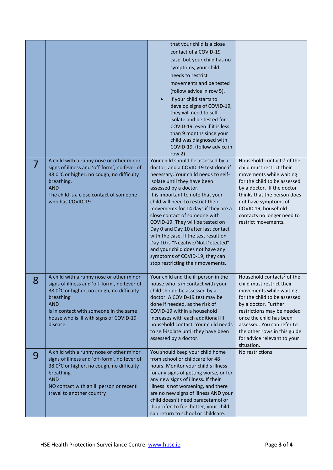|   | A child with a runny nose or other minor<br>signs of illness and 'off-form', no fever of                                                                                                                                                                         | that your child is a close<br>contact of a COVID-19<br>case, but your child has no<br>symptoms, your child<br>needs to restrict<br>movements and be tested<br>(follow advice in row 5).<br>If your child starts to<br>develop signs of COVID-19,<br>they will need to self-<br>isolate and be tested for<br>COVID-19, even if it is less<br>than 9 months since your<br>child was diagnosed with<br>COVID-19. (follow advice in<br>row $2)$<br>Your child should be assessed by a<br>doctor, and a COVID-19 test done if | Household contacts <sup>2</sup> of the<br>child must restrict their                                                                                                                                                                                                                                                        |
|---|------------------------------------------------------------------------------------------------------------------------------------------------------------------------------------------------------------------------------------------------------------------|--------------------------------------------------------------------------------------------------------------------------------------------------------------------------------------------------------------------------------------------------------------------------------------------------------------------------------------------------------------------------------------------------------------------------------------------------------------------------------------------------------------------------|----------------------------------------------------------------------------------------------------------------------------------------------------------------------------------------------------------------------------------------------------------------------------------------------------------------------------|
|   | 38.0°C or higher, no cough, no difficulty<br>breathing.<br><b>AND</b><br>The child is a close contact of someone<br>who has COVID-19                                                                                                                             | necessary. Your child needs to self-<br>isolate until they have been<br>assessed by a doctor.<br>It is important to note that your<br>child will need to restrict their<br>movements for 14 days if they are a<br>close contact of someone with<br>COVID-19. They will be tested on<br>Day 0 and Day 10 after last contact<br>with the case. If the test result on<br>Day 10 is "Negative/Not Detected"<br>and your child does not have any<br>symptoms of COVID-19, they can<br>stop restricting their movements.       | movements while waiting<br>for the child to be assessed<br>by a doctor. If the doctor<br>thinks that the person does<br>not have symptoms of<br>COVID 19, household<br>contacts no longer need to<br>restrict movements.                                                                                                   |
| 8 | A child with a runny nose or other minor<br>signs of illness and 'off-form', no fever of<br>38.0°C or higher, no cough, no difficulty<br>breathing<br><b>AND</b><br>is in contact with someone in the same<br>house who is ill with signs of COVID-19<br>disease | Your child and the ill person in the<br>house who is in contact with your<br>child should be assessed by a<br>doctor. A COVID-19 test may be<br>done if needed, as the risk of<br>COVID-19 within a household<br>increases with each additional ill<br>household contact. Your child needs<br>to self-isolate until they have been<br>assessed by a doctor.                                                                                                                                                              | Household contacts <sup>2</sup> of the<br>child must restrict their<br>movements while waiting<br>for the child to be assessed<br>by a doctor. Further<br>restrictions may be needed<br>once the child has been<br>assessed. You can refer to<br>the other rows in this guide<br>for advice relevant to your<br>situation. |
| 9 | A child with a runny nose or other minor<br>signs of illness and 'off-form', no fever of<br>38.0°C or higher, no cough, no difficulty<br>breathing<br><b>AND</b><br>NO contact with an ill person or recent<br>travel to another country                         | You should keep your child home<br>from school or childcare for 48<br>hours. Monitor your child's illness<br>for any signs of getting worse, or for<br>any new signs of illness. If their<br>illness is not worsening, and there<br>are no new signs of illness AND your<br>child doesn't need paracetamol or<br>ibuprofen to feel better, your child<br>can return to school or childcare.                                                                                                                              | No restrictions                                                                                                                                                                                                                                                                                                            |